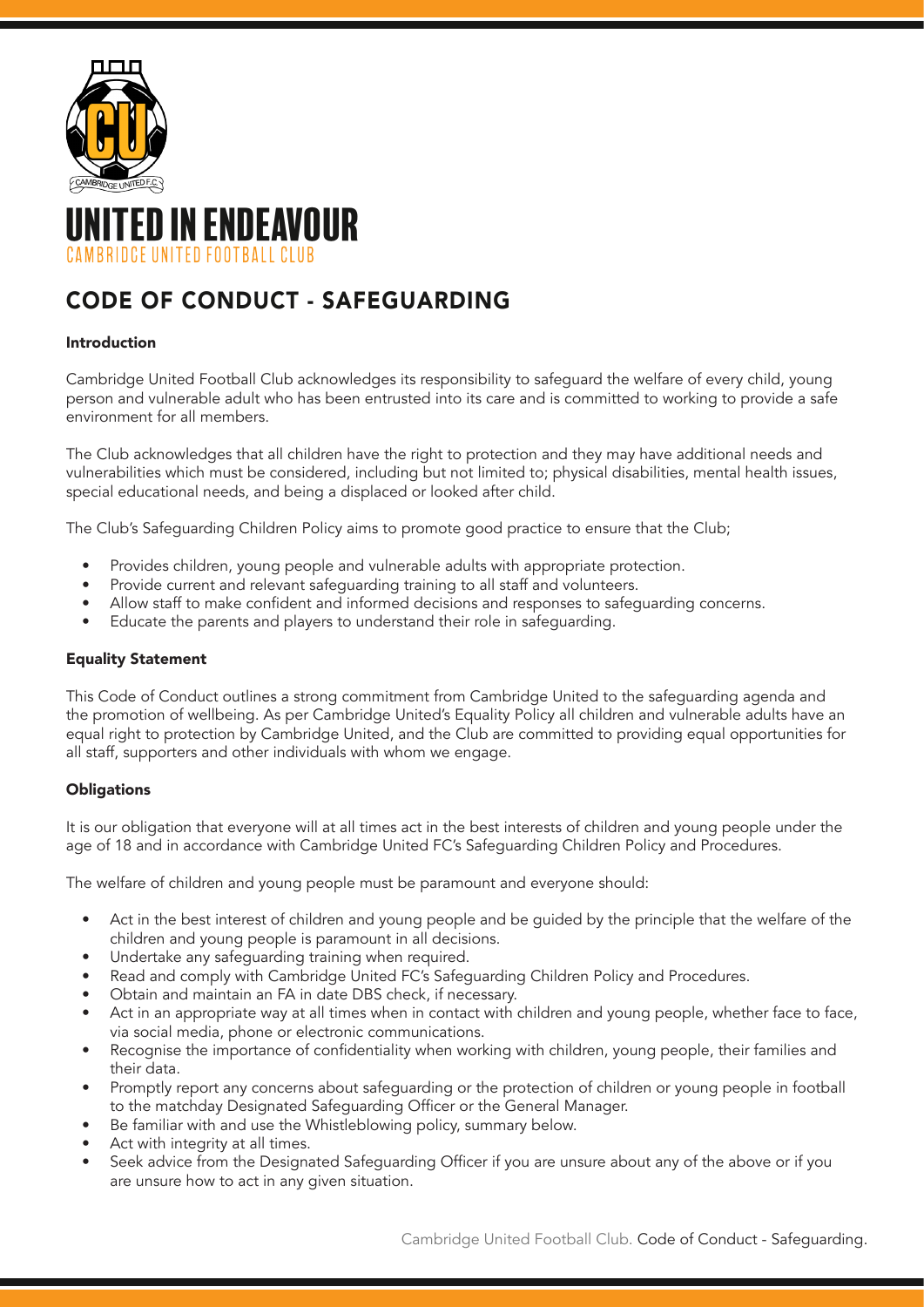

# TED IN ENDEAVOUR **RRIDCE UNITED FOOTRALL CLUB**

## CODE OF CONDUCT - SAFEGUARDING

### Introduction

Cambridge United Football Club acknowledges its responsibility to safeguard the welfare of every child, young person and vulnerable adult who has been entrusted into its care and is committed to working to provide a safe environment for all members.

The Club acknowledges that all children have the right to protection and they may have additional needs and vulnerabilities which must be considered, including but not limited to; physical disabilities, mental health issues, special educational needs, and being a displaced or looked after child.

The Club's Safeguarding Children Policy aims to promote good practice to ensure that the Club;

- Provides children, young people and vulnerable adults with appropriate protection.
- Provide current and relevant safeguarding training to all staff and volunteers.
- Allow staff to make confident and informed decisions and responses to safeguarding concerns.
- Educate the parents and players to understand their role in safeguarding.

### Equality Statement

This Code of Conduct outlines a strong commitment from Cambridge United to the safeguarding agenda and the promotion of wellbeing. As per Cambridge United's Equality Policy all children and vulnerable adults have an equal right to protection by Cambridge United, and the Club are committed to providing equal opportunities for all staff, supporters and other individuals with whom we engage.

## **Obligations**

It is our obligation that everyone will at all times act in the best interests of children and young people under the age of 18 and in accordance with Cambridge United FC's Safeguarding Children Policy and Procedures.

The welfare of children and young people must be paramount and everyone should:

- Act in the best interest of children and young people and be guided by the principle that the welfare of the children and young people is paramount in all decisions.
- Undertake any safeguarding training when required.
- Read and comply with Cambridge United FC's Safeguarding Children Policy and Procedures.
- Obtain and maintain an FA in date DBS check, if necessary.
- Act in an appropriate way at all times when in contact with children and young people, whether face to face, via social media, phone or electronic communications.
- Recognise the importance of confidentiality when working with children, young people, their families and their data.
- Promptly report any concerns about safeguarding or the protection of children or young people in football to the matchday Designated Safeguarding Officer or the General Manager.
- Be familiar with and use the Whistleblowing policy, summary below.
- Act with integrity at all times.
- Seek advice from the Designated Safeguarding Officer if you are unsure about any of the above or if you are unsure how to act in any given situation.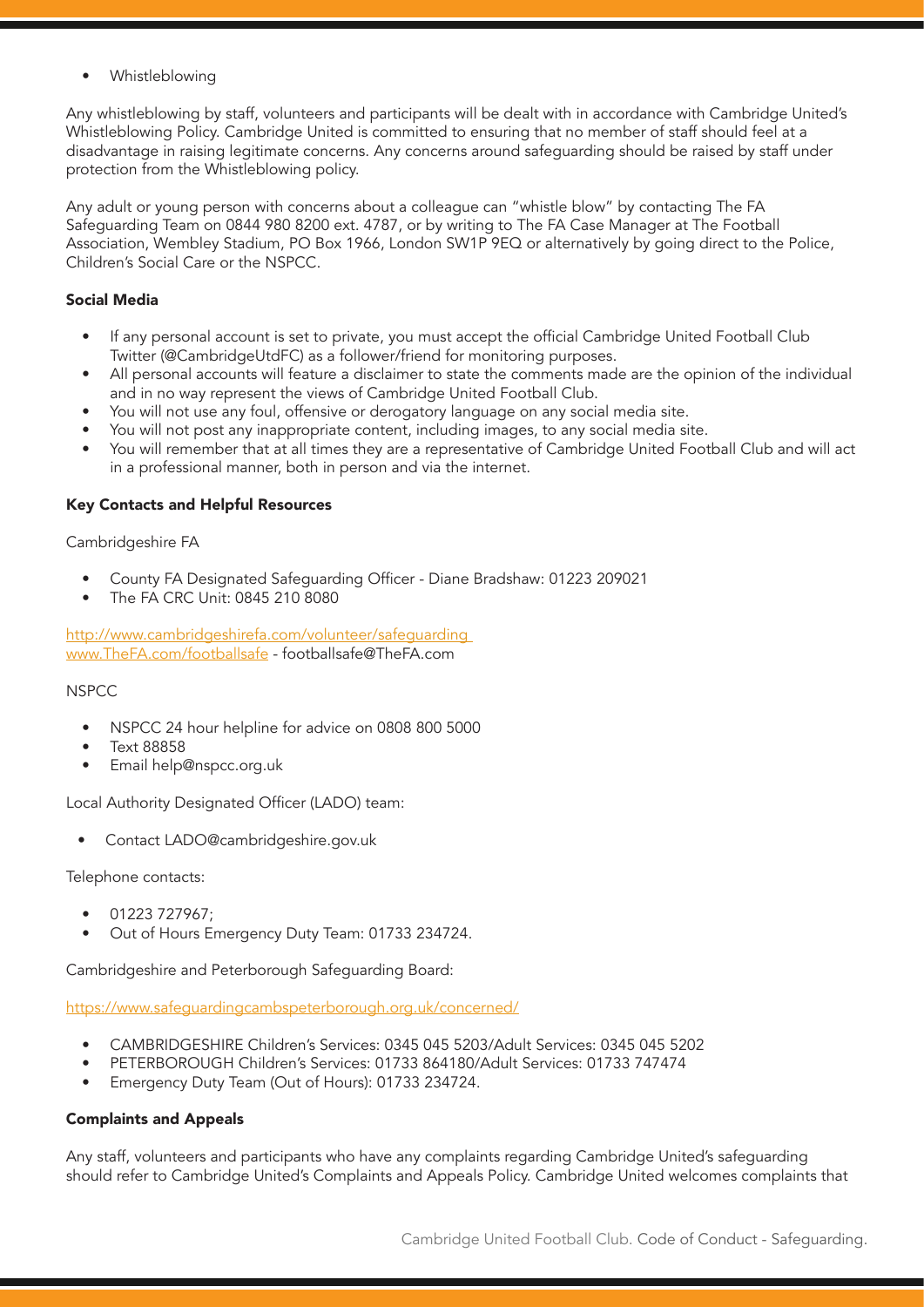**Whistleblowing** 

Any whistleblowing by staff, volunteers and participants will be dealt with in accordance with Cambridge United's Whistleblowing Policy. Cambridge United is committed to ensuring that no member of staff should feel at a disadvantage in raising legitimate concerns. Any concerns around safeguarding should be raised by staff under protection from the Whistleblowing policy.

Any adult or young person with concerns about a colleague can "whistle blow" by contacting The FA Safeguarding Team on 0844 980 8200 ext. 4787, or by writing to The FA Case Manager at The Football Association, Wembley Stadium, PO Box 1966, London SW1P 9EQ or alternatively by going direct to the Police, Children's Social Care or the NSPCC.

## Social Media

- If any personal account is set to private, you must accept the official Cambridge United Football Club Twitter (@CambridgeUtdFC) as a follower/friend for monitoring purposes.
- All personal accounts will feature a disclaimer to state the comments made are the opinion of the individual and in no way represent the views of Cambridge United Football Club.
- You will not use any foul, offensive or derogatory language on any social media site.
- You will not post any inappropriate content, including images, to any social media site.
- You will remember that at all times they are a representative of Cambridge United Football Club and will act in a professional manner, both in person and via the internet.

#### Key Contacts and Helpful Resources

Cambridgeshire FA

- County FA Designated Safeguarding Officer Diane Bradshaw: 01223 209021
- The FA CRC Unit: 0845 210 8080

http://www.cambridgeshirefa.com/volunteer/safeguarding www.TheFA.com/footballsafe - footballsafe@TheFA.com

#### NSPCC

- NSPCC 24 hour helpline for advice on 0808 800 5000
- Text 88858
- Email help@nspcc.org.uk

Local Authority Designated Officer (LADO) team:

• Contact LADO@cambridgeshire.gov.uk

Telephone contacts:

- 01223 727967;
- Out of Hours Emergency Duty Team: 01733 234724.

Cambridgeshire and Peterborough Safeguarding Board:

https://www.safeguardingcambspeterborough.org.uk/concerned/

- CAMBRIDGESHIRE Children's Services: 0345 045 5203/Adult Services: 0345 045 5202
- PETERBOROUGH Children's Services: 01733 864180/Adult Services: 01733 747474
- Emergency Duty Team (Out of Hours): 01733 234724.

## Complaints and Appeals

Any staff, volunteers and participants who have any complaints regarding Cambridge United's safeguarding should refer to Cambridge United's Complaints and Appeals Policy. Cambridge United welcomes complaints that